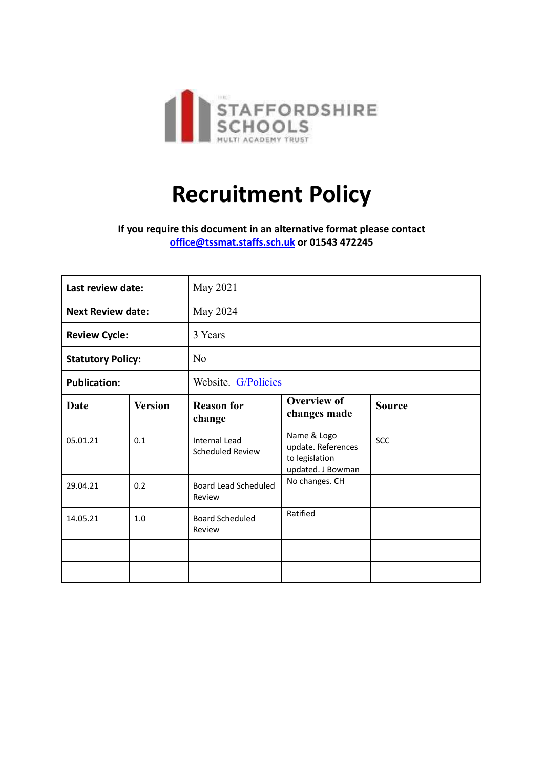

# **Recruitment Policy**

**If you require this document in an alternative format please contact [office@tssmat.staffs.sch.uk](mailto:office@tssmat.staffs.sch.uk) or 01543 472245**

| Last review date:        |                | May 2021                                 |                                                                          |               |
|--------------------------|----------------|------------------------------------------|--------------------------------------------------------------------------|---------------|
| <b>Next Review date:</b> |                | May 2024                                 |                                                                          |               |
| <b>Review Cycle:</b>     |                | 3 Years                                  |                                                                          |               |
| <b>Statutory Policy:</b> |                | N <sub>o</sub>                           |                                                                          |               |
| <b>Publication:</b>      |                | Website. G/Policies                      |                                                                          |               |
| <b>Date</b>              | <b>Version</b> | <b>Reason for</b><br>change              | <b>Overview of</b><br>changes made                                       | <b>Source</b> |
| 05.01.21                 | 0.1            | <b>Internal Lead</b><br>Scheduled Review | Name & Logo<br>update. References<br>to legislation<br>updated. J Bowman | <b>SCC</b>    |
| 29.04.21                 | 0.2            | Board Lead Scheduled<br>Review           | No changes. CH                                                           |               |
| 14.05.21                 | 1.0            | <b>Board Scheduled</b><br>Review         | Ratified                                                                 |               |
|                          |                |                                          |                                                                          |               |
|                          |                |                                          |                                                                          |               |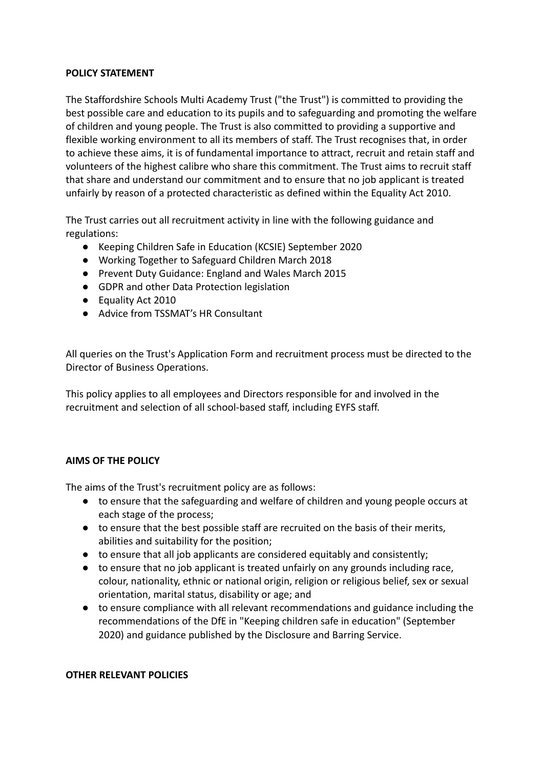#### **POLICY STATEMENT**

The Staffordshire Schools Multi Academy Trust ("the Trust") is committed to providing the best possible care and education to its pupils and to safeguarding and promoting the welfare of children and young people. The Trust is also committed to providing a supportive and flexible working environment to all its members of staff. The Trust recognises that, in order to achieve these aims, it is of fundamental importance to attract, recruit and retain staff and volunteers of the highest calibre who share this commitment. The Trust aims to recruit staff that share and understand our commitment and to ensure that no job applicant is treated unfairly by reason of a protected characteristic as defined within the Equality Act 2010.

The Trust carries out all recruitment activity in line with the following guidance and regulations:

- Keeping Children Safe in Education (KCSIE) September 2020
- Working Together to Safeguard Children March 2018
- Prevent Duty Guidance: England and Wales March 2015
- GDPR and other Data Protection legislation
- Equality Act 2010
- Advice from TSSMAT's HR Consultant

All queries on the Trust's Application Form and recruitment process must be directed to the Director of Business Operations.

This policy applies to all employees and Directors responsible for and involved in the recruitment and selection of all school-based staff, including EYFS staff.

## **AIMS OF THE POLICY**

The aims of the Trust's recruitment policy are as follows:

- to ensure that the safeguarding and welfare of children and young people occurs at each stage of the process;
- to ensure that the best possible staff are recruited on the basis of their merits, abilities and suitability for the position;
- to ensure that all job applicants are considered equitably and consistently;
- to ensure that no job applicant is treated unfairly on any grounds including race, colour, nationality, ethnic or national origin, religion or religious belief, sex or sexual orientation, marital status, disability or age; and
- to ensure compliance with all relevant recommendations and guidance including the recommendations of the DfE in "Keeping children safe in education" (September 2020) and guidance published by the Disclosure and Barring Service.

#### **OTHER RELEVANT POLICIES**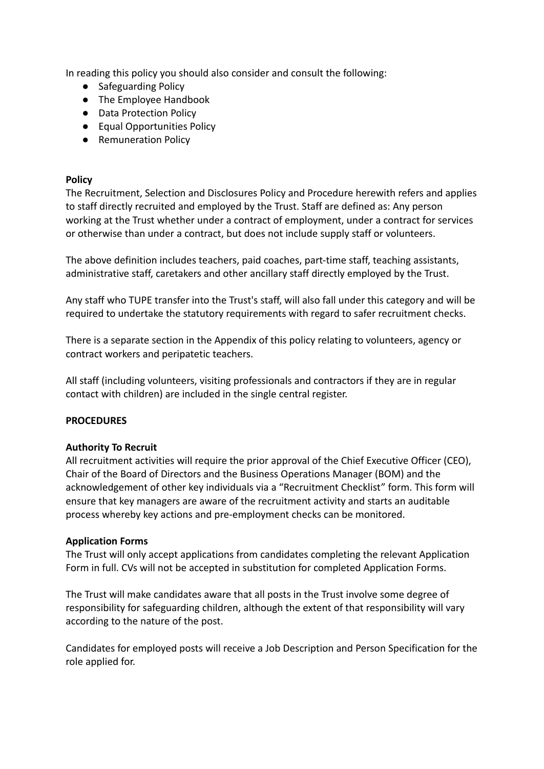In reading this policy you should also consider and consult the following:

- Safeguarding Policy
- The Employee Handbook
- Data Protection Policy
- Equal Opportunities Policy
- Remuneration Policy

#### **Policy**

The Recruitment, Selection and Disclosures Policy and Procedure herewith refers and applies to staff directly recruited and employed by the Trust. Staff are defined as: Any person working at the Trust whether under a contract of employment, under a contract for services or otherwise than under a contract, but does not include supply staff or volunteers.

The above definition includes teachers, paid coaches, part-time staff, teaching assistants, administrative staff, caretakers and other ancillary staff directly employed by the Trust.

Any staff who TUPE transfer into the Trust's staff, will also fall under this category and will be required to undertake the statutory requirements with regard to safer recruitment checks.

There is a separate section in the Appendix of this policy relating to volunteers, agency or contract workers and peripatetic teachers.

All staff (including volunteers, visiting professionals and contractors if they are in regular contact with children) are included in the single central register.

## **PROCEDURES**

#### **Authority To Recruit**

All recruitment activities will require the prior approval of the Chief Executive Officer (CEO), Chair of the Board of Directors and the Business Operations Manager (BOM) and the acknowledgement of other key individuals via a "Recruitment Checklist" form. This form will ensure that key managers are aware of the recruitment activity and starts an auditable process whereby key actions and pre-employment checks can be monitored.

#### **Application Forms**

The Trust will only accept applications from candidates completing the relevant Application Form in full. CVs will not be accepted in substitution for completed Application Forms.

The Trust will make candidates aware that all posts in the Trust involve some degree of responsibility for safeguarding children, although the extent of that responsibility will vary according to the nature of the post.

Candidates for employed posts will receive a Job Description and Person Specification for the role applied for.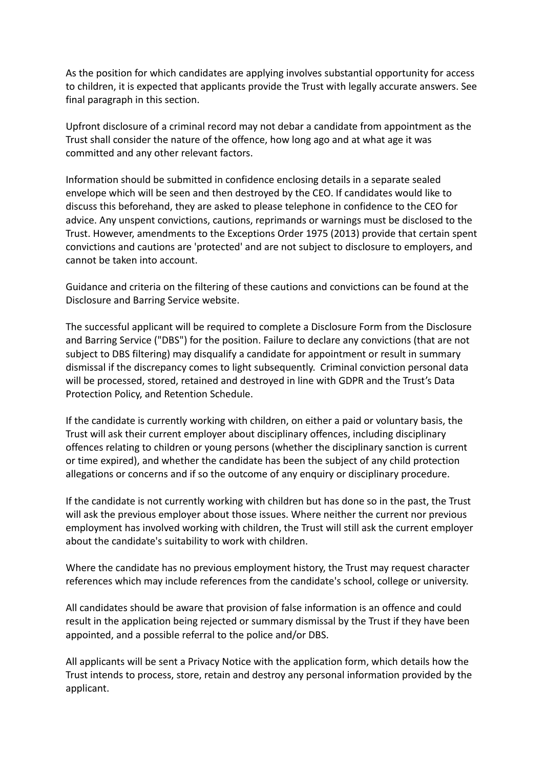As the position for which candidates are applying involves substantial opportunity for access to children, it is expected that applicants provide the Trust with legally accurate answers. See final paragraph in this section.

Upfront disclosure of a criminal record may not debar a candidate from appointment as the Trust shall consider the nature of the offence, how long ago and at what age it was committed and any other relevant factors.

Information should be submitted in confidence enclosing details in a separate sealed envelope which will be seen and then destroyed by the CEO. If candidates would like to discuss this beforehand, they are asked to please telephone in confidence to the CEO for advice. Any unspent convictions, cautions, reprimands or warnings must be disclosed to the Trust. However, amendments to the Exceptions Order 1975 (2013) provide that certain spent convictions and cautions are 'protected' and are not subject to disclosure to employers, and cannot be taken into account.

Guidance and criteria on the filtering of these cautions and convictions can be found at the Disclosure and Barring Service website.

The successful applicant will be required to complete a Disclosure Form from the Disclosure and Barring Service ("DBS") for the position. Failure to declare any convictions (that are not subject to DBS filtering) may disqualify a candidate for appointment or result in summary dismissal if the discrepancy comes to light subsequently. Criminal conviction personal data will be processed, stored, retained and destroyed in line with GDPR and the Trust's Data Protection Policy, and Retention Schedule.

If the candidate is currently working with children, on either a paid or voluntary basis, the Trust will ask their current employer about disciplinary offences, including disciplinary offences relating to children or young persons (whether the disciplinary sanction is current or time expired), and whether the candidate has been the subject of any child protection allegations or concerns and if so the outcome of any enquiry or disciplinary procedure.

If the candidate is not currently working with children but has done so in the past, the Trust will ask the previous employer about those issues. Where neither the current nor previous employment has involved working with children, the Trust will still ask the current employer about the candidate's suitability to work with children.

Where the candidate has no previous employment history, the Trust may request character references which may include references from the candidate's school, college or university.

All candidates should be aware that provision of false information is an offence and could result in the application being rejected or summary dismissal by the Trust if they have been appointed, and a possible referral to the police and/or DBS.

All applicants will be sent a Privacy Notice with the application form, which details how the Trust intends to process, store, retain and destroy any personal information provided by the applicant.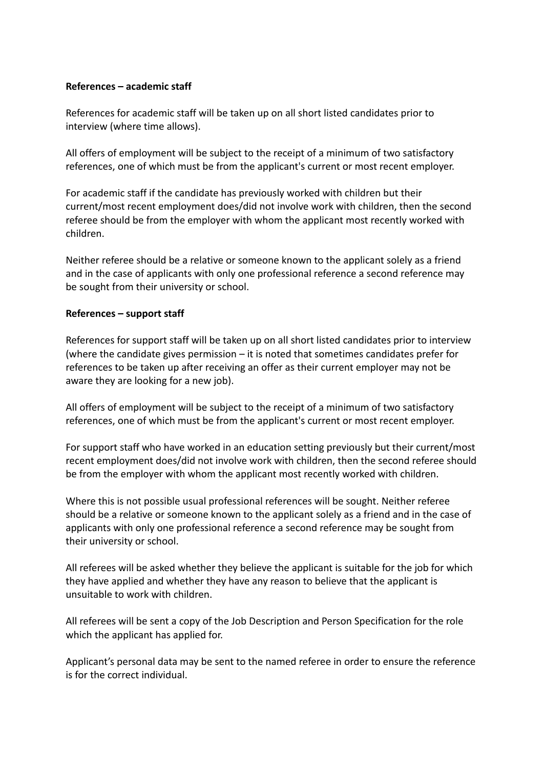#### **References – academic staff**

References for academic staff will be taken up on all short listed candidates prior to interview (where time allows).

All offers of employment will be subject to the receipt of a minimum of two satisfactory references, one of which must be from the applicant's current or most recent employer.

For academic staff if the candidate has previously worked with children but their current/most recent employment does/did not involve work with children, then the second referee should be from the employer with whom the applicant most recently worked with children.

Neither referee should be a relative or someone known to the applicant solely as a friend and in the case of applicants with only one professional reference a second reference may be sought from their university or school.

#### **References – support staff**

References for support staff will be taken up on all short listed candidates prior to interview (where the candidate gives permission – it is noted that sometimes candidates prefer for references to be taken up after receiving an offer as their current employer may not be aware they are looking for a new job).

All offers of employment will be subject to the receipt of a minimum of two satisfactory references, one of which must be from the applicant's current or most recent employer.

For support staff who have worked in an education setting previously but their current/most recent employment does/did not involve work with children, then the second referee should be from the employer with whom the applicant most recently worked with children.

Where this is not possible usual professional references will be sought. Neither referee should be a relative or someone known to the applicant solely as a friend and in the case of applicants with only one professional reference a second reference may be sought from their university or school.

All referees will be asked whether they believe the applicant is suitable for the job for which they have applied and whether they have any reason to believe that the applicant is unsuitable to work with children.

All referees will be sent a copy of the Job Description and Person Specification for the role which the applicant has applied for.

Applicant's personal data may be sent to the named referee in order to ensure the reference is for the correct individual.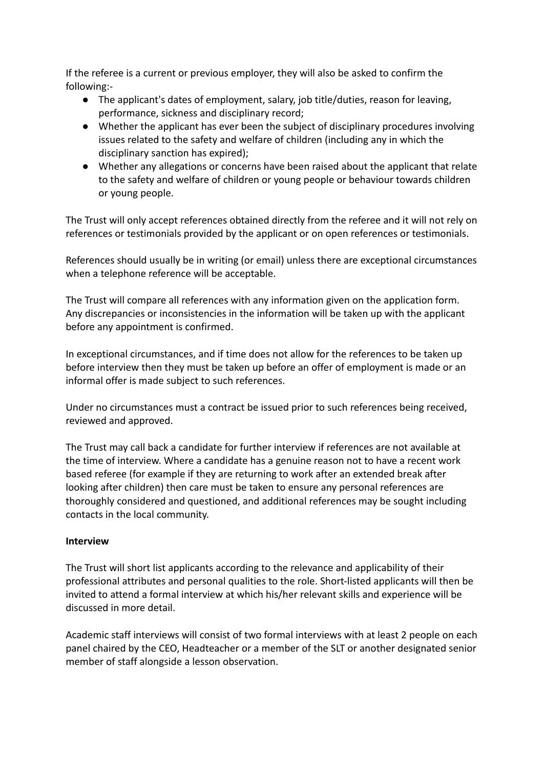If the referee is a current or previous employer, they will also be asked to confirm the following:-

- The applicant's dates of employment, salary, job title/duties, reason for leaving, performance, sickness and disciplinary record;
- Whether the applicant has ever been the subject of disciplinary procedures involving issues related to the safety and welfare of children (including any in which the disciplinary sanction has expired);
- Whether any allegations or concerns have been raised about the applicant that relate to the safety and welfare of children or young people or behaviour towards children or young people.

The Trust will only accept references obtained directly from the referee and it will not rely on references or testimonials provided by the applicant or on open references or testimonials.

References should usually be in writing (or email) unless there are exceptional circumstances when a telephone reference will be acceptable.

The Trust will compare all references with any information given on the application form. Any discrepancies or inconsistencies in the information will be taken up with the applicant before any appointment is confirmed.

In exceptional circumstances, and if time does not allow for the references to be taken up before interview then they must be taken up before an offer of employment is made or an informal offer is made subject to such references.

Under no circumstances must a contract be issued prior to such references being received, reviewed and approved.

The Trust may call back a candidate for further interview if references are not available at the time of interview. Where a candidate has a genuine reason not to have a recent work based referee (for example if they are returning to work after an extended break after looking after children) then care must be taken to ensure any personal references are thoroughly considered and questioned, and additional references may be sought including contacts in the local community.

## **Interview**

The Trust will short list applicants according to the relevance and applicability of their professional attributes and personal qualities to the role. Short-listed applicants will then be invited to attend a formal interview at which his/her relevant skills and experience will be discussed in more detail.

Academic staff interviews will consist of two formal interviews with at least 2 people on each panel chaired by the CEO, Headteacher or a member of the SLT or another designated senior member of staff alongside a lesson observation.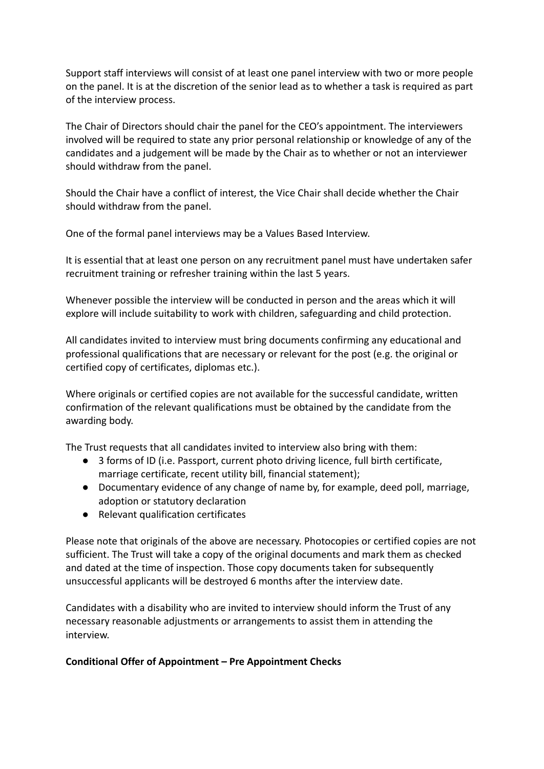Support staff interviews will consist of at least one panel interview with two or more people on the panel. It is at the discretion of the senior lead as to whether a task is required as part of the interview process.

The Chair of Directors should chair the panel for the CEO's appointment. The interviewers involved will be required to state any prior personal relationship or knowledge of any of the candidates and a judgement will be made by the Chair as to whether or not an interviewer should withdraw from the panel.

Should the Chair have a conflict of interest, the Vice Chair shall decide whether the Chair should withdraw from the panel.

One of the formal panel interviews may be a Values Based Interview.

It is essential that at least one person on any recruitment panel must have undertaken safer recruitment training or refresher training within the last 5 years.

Whenever possible the interview will be conducted in person and the areas which it will explore will include suitability to work with children, safeguarding and child protection.

All candidates invited to interview must bring documents confirming any educational and professional qualifications that are necessary or relevant for the post (e.g. the original or certified copy of certificates, diplomas etc.).

Where originals or certified copies are not available for the successful candidate, written confirmation of the relevant qualifications must be obtained by the candidate from the awarding body.

The Trust requests that all candidates invited to interview also bring with them:

- 3 forms of ID (i.e. Passport, current photo driving licence, full birth certificate, marriage certificate, recent utility bill, financial statement);
- Documentary evidence of any change of name by, for example, deed poll, marriage, adoption or statutory declaration
- Relevant qualification certificates

Please note that originals of the above are necessary. Photocopies or certified copies are not sufficient. The Trust will take a copy of the original documents and mark them as checked and dated at the time of inspection. Those copy documents taken for subsequently unsuccessful applicants will be destroyed 6 months after the interview date.

Candidates with a disability who are invited to interview should inform the Trust of any necessary reasonable adjustments or arrangements to assist them in attending the interview.

#### **Conditional Offer of Appointment – Pre Appointment Checks**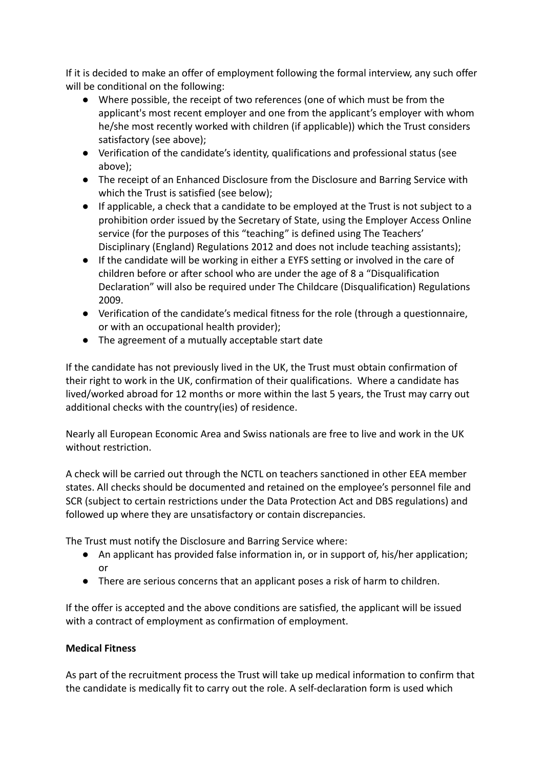If it is decided to make an offer of employment following the formal interview, any such offer will be conditional on the following:

- Where possible, the receipt of two references (one of which must be from the applicant's most recent employer and one from the applicant's employer with whom he/she most recently worked with children (if applicable)) which the Trust considers satisfactory (see above);
- Verification of the candidate's identity, qualifications and professional status (see above);
- The receipt of an Enhanced Disclosure from the Disclosure and Barring Service with which the Trust is satisfied (see below);
- If applicable, a check that a candidate to be employed at the Trust is not subject to a prohibition order issued by the Secretary of State, using the Employer Access Online service (for the purposes of this "teaching" is defined using The Teachers' Disciplinary (England) Regulations 2012 and does not include teaching assistants);
- If the candidate will be working in either a EYFS setting or involved in the care of children before or after school who are under the age of 8 a "Disqualification Declaration" will also be required under The Childcare (Disqualification) Regulations 2009.
- Verification of the candidate's medical fitness for the role (through a questionnaire, or with an occupational health provider);
- The agreement of a mutually acceptable start date

If the candidate has not previously lived in the UK, the Trust must obtain confirmation of their right to work in the UK, confirmation of their qualifications. Where a candidate has lived/worked abroad for 12 months or more within the last 5 years, the Trust may carry out additional checks with the country(ies) of residence.

Nearly all European Economic Area and Swiss nationals are free to live and work in the UK without restriction.

A check will be carried out through the NCTL on teachers sanctioned in other EEA member states. All checks should be documented and retained on the employee's personnel file and SCR (subject to certain restrictions under the Data Protection Act and DBS regulations) and followed up where they are unsatisfactory or contain discrepancies.

The Trust must notify the Disclosure and Barring Service where:

- An applicant has provided false information in, or in support of, his/her application; or
- There are serious concerns that an applicant poses a risk of harm to children.

If the offer is accepted and the above conditions are satisfied, the applicant will be issued with a contract of employment as confirmation of employment.

# **Medical Fitness**

As part of the recruitment process the Trust will take up medical information to confirm that the candidate is medically fit to carry out the role. A self-declaration form is used which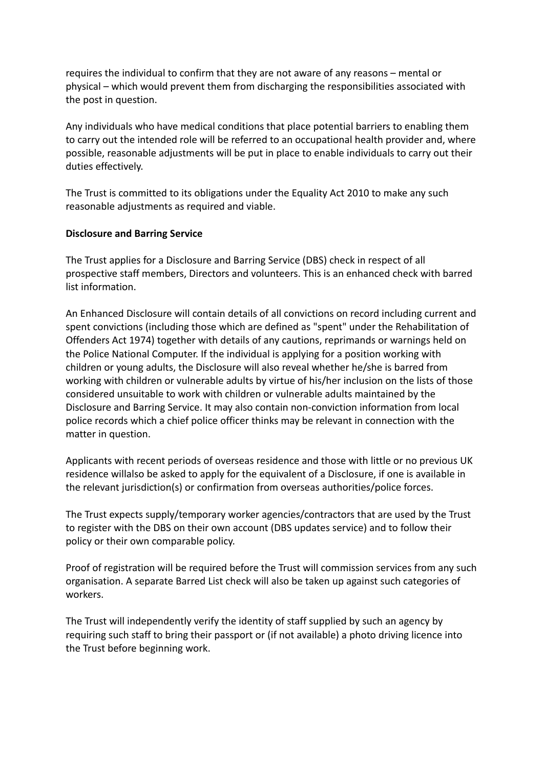requires the individual to confirm that they are not aware of any reasons – mental or physical – which would prevent them from discharging the responsibilities associated with the post in question.

Any individuals who have medical conditions that place potential barriers to enabling them to carry out the intended role will be referred to an occupational health provider and, where possible, reasonable adjustments will be put in place to enable individuals to carry out their duties effectively.

The Trust is committed to its obligations under the Equality Act 2010 to make any such reasonable adjustments as required and viable.

#### **Disclosure and Barring Service**

The Trust applies for a Disclosure and Barring Service (DBS) check in respect of all prospective staff members, Directors and volunteers. This is an enhanced check with barred list information.

An Enhanced Disclosure will contain details of all convictions on record including current and spent convictions (including those which are defined as "spent" under the Rehabilitation of Offenders Act 1974) together with details of any cautions, reprimands or warnings held on the Police National Computer. If the individual is applying for a position working with children or young adults, the Disclosure will also reveal whether he/she is barred from working with children or vulnerable adults by virtue of his/her inclusion on the lists of those considered unsuitable to work with children or vulnerable adults maintained by the Disclosure and Barring Service. It may also contain non-conviction information from local police records which a chief police officer thinks may be relevant in connection with the matter in question.

Applicants with recent periods of overseas residence and those with little or no previous UK residence willalso be asked to apply for the equivalent of a Disclosure, if one is available in the relevant jurisdiction(s) or confirmation from overseas authorities/police forces.

The Trust expects supply/temporary worker agencies/contractors that are used by the Trust to register with the DBS on their own account (DBS updates service) and to follow their policy or their own comparable policy.

Proof of registration will be required before the Trust will commission services from any such organisation. A separate Barred List check will also be taken up against such categories of workers.

The Trust will independently verify the identity of staff supplied by such an agency by requiring such staff to bring their passport or (if not available) a photo driving licence into the Trust before beginning work.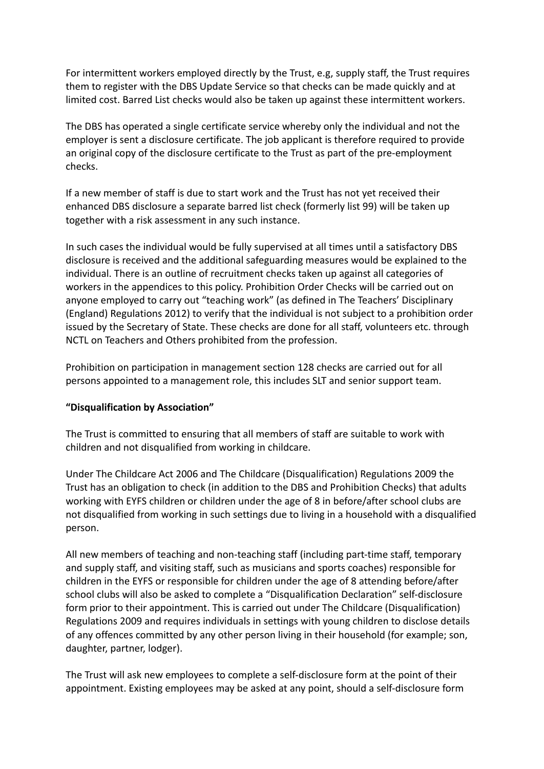For intermittent workers employed directly by the Trust, e.g, supply staff, the Trust requires them to register with the DBS Update Service so that checks can be made quickly and at limited cost. Barred List checks would also be taken up against these intermittent workers.

The DBS has operated a single certificate service whereby only the individual and not the employer is sent a disclosure certificate. The job applicant is therefore required to provide an original copy of the disclosure certificate to the Trust as part of the pre-employment checks.

If a new member of staff is due to start work and the Trust has not yet received their enhanced DBS disclosure a separate barred list check (formerly list 99) will be taken up together with a risk assessment in any such instance.

In such cases the individual would be fully supervised at all times until a satisfactory DBS disclosure is received and the additional safeguarding measures would be explained to the individual. There is an outline of recruitment checks taken up against all categories of workers in the appendices to this policy. Prohibition Order Checks will be carried out on anyone employed to carry out "teaching work" (as defined in The Teachers' Disciplinary (England) Regulations 2012) to verify that the individual is not subject to a prohibition order issued by the Secretary of State. These checks are done for all staff, volunteers etc. through NCTL on Teachers and Others prohibited from the profession.

Prohibition on participation in management section 128 checks are carried out for all persons appointed to a management role, this includes SLT and senior support team.

## **"Disqualification by Association"**

The Trust is committed to ensuring that all members of staff are suitable to work with children and not disqualified from working in childcare.

Under The Childcare Act 2006 and The Childcare (Disqualification) Regulations 2009 the Trust has an obligation to check (in addition to the DBS and Prohibition Checks) that adults working with EYFS children or children under the age of 8 in before/after school clubs are not disqualified from working in such settings due to living in a household with a disqualified person.

All new members of teaching and non-teaching staff (including part-time staff, temporary and supply staff, and visiting staff, such as musicians and sports coaches) responsible for children in the EYFS or responsible for children under the age of 8 attending before/after school clubs will also be asked to complete a "Disqualification Declaration" self-disclosure form prior to their appointment. This is carried out under The Childcare (Disqualification) Regulations 2009 and requires individuals in settings with young children to disclose details of any offences committed by any other person living in their household (for example; son, daughter, partner, lodger).

The Trust will ask new employees to complete a self-disclosure form at the point of their appointment. Existing employees may be asked at any point, should a self-disclosure form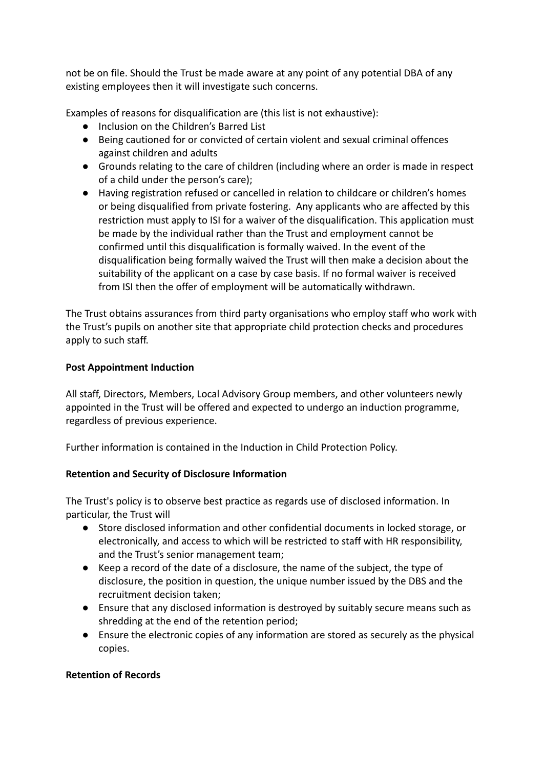not be on file. Should the Trust be made aware at any point of any potential DBA of any existing employees then it will investigate such concerns.

Examples of reasons for disqualification are (this list is not exhaustive):

- Inclusion on the Children's Barred List
- Being cautioned for or convicted of certain violent and sexual criminal offences against children and adults
- Grounds relating to the care of children (including where an order is made in respect of a child under the person's care);
- Having registration refused or cancelled in relation to childcare or children's homes or being disqualified from private fostering. Any applicants who are affected by this restriction must apply to ISI for a waiver of the disqualification. This application must be made by the individual rather than the Trust and employment cannot be confirmed until this disqualification is formally waived. In the event of the disqualification being formally waived the Trust will then make a decision about the suitability of the applicant on a case by case basis. If no formal waiver is received from ISI then the offer of employment will be automatically withdrawn.

The Trust obtains assurances from third party organisations who employ staff who work with the Trust's pupils on another site that appropriate child protection checks and procedures apply to such staff.

## **Post Appointment Induction**

All staff, Directors, Members, Local Advisory Group members, and other volunteers newly appointed in the Trust will be offered and expected to undergo an induction programme, regardless of previous experience.

Further information is contained in the Induction in Child Protection Policy.

## **Retention and Security of Disclosure Information**

The Trust's policy is to observe best practice as regards use of disclosed information. In particular, the Trust will

- Store disclosed information and other confidential documents in locked storage, or electronically, and access to which will be restricted to staff with HR responsibility, and the Trust's senior management team;
- Keep a record of the date of a disclosure, the name of the subject, the type of disclosure, the position in question, the unique number issued by the DBS and the recruitment decision taken;
- Ensure that any disclosed information is destroyed by suitably secure means such as shredding at the end of the retention period;
- Ensure the electronic copies of any information are stored as securely as the physical copies.

#### **Retention of Records**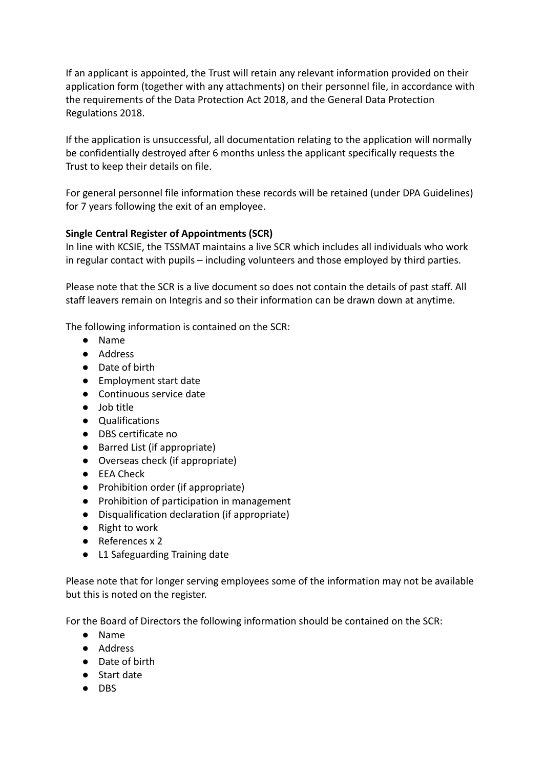If an applicant is appointed, the Trust will retain any relevant information provided on their application form (together with any attachments) on their personnel file, in accordance with the requirements of the Data Protection Act 2018, and the General Data Protection Regulations 2018.

If the application is unsuccessful, all documentation relating to the application will normally be confidentially destroyed after 6 months unless the applicant specifically requests the Trust to keep their details on file.

For general personnel file information these records will be retained (under DPA Guidelines) for 7 years following the exit of an employee.

## **Single Central Register of Appointments (SCR)**

In line with KCSIE, the TSSMAT maintains a live SCR which includes all individuals who work in regular contact with pupils – including volunteers and those employed by third parties.

Please note that the SCR is a live document so does not contain the details of past staff. All staff leavers remain on Integris and so their information can be drawn down at anytime.

The following information is contained on the SCR:

- Name
- Address
- Date of birth
- Employment start date
- Continuous service date
- Job title
- Qualifications
- DBS certificate no
- Barred List (if appropriate)
- Overseas check (if appropriate)
- EEA Check
- Prohibition order (if appropriate)
- Prohibition of participation in management
- Disqualification declaration (if appropriate)
- Right to work
- References x 2
- L1 Safeguarding Training date

Please note that for longer serving employees some of the information may not be available but this is noted on the register.

For the Board of Directors the following information should be contained on the SCR:

- Name
- Address
- Date of birth
- Start date
- DBS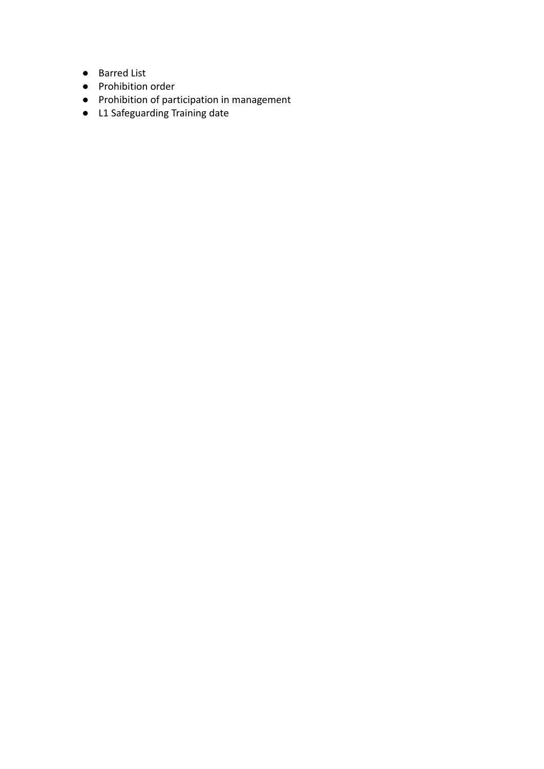- Barred List
- Prohibition order
- Prohibition of participation in management
- L1 Safeguarding Training date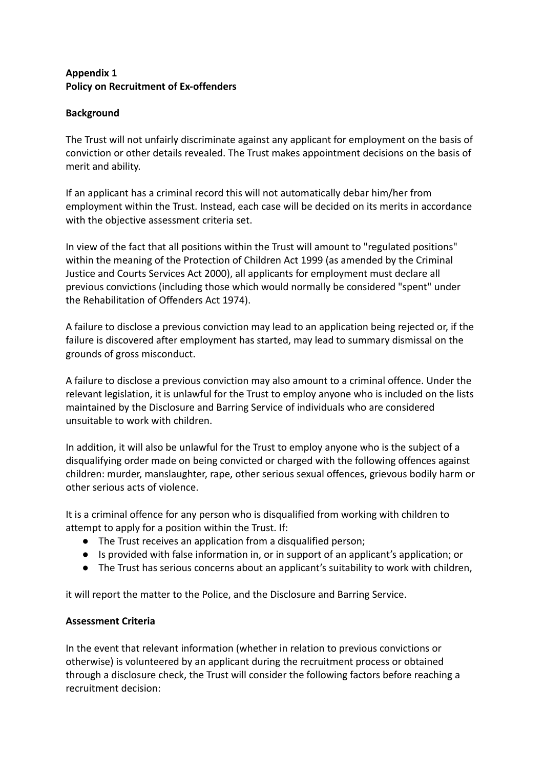## **Appendix 1 Policy on Recruitment of Ex-offenders**

## **Background**

The Trust will not unfairly discriminate against any applicant for employment on the basis of conviction or other details revealed. The Trust makes appointment decisions on the basis of merit and ability.

If an applicant has a criminal record this will not automatically debar him/her from employment within the Trust. Instead, each case will be decided on its merits in accordance with the objective assessment criteria set.

In view of the fact that all positions within the Trust will amount to "regulated positions" within the meaning of the Protection of Children Act 1999 (as amended by the Criminal Justice and Courts Services Act 2000), all applicants for employment must declare all previous convictions (including those which would normally be considered "spent" under the Rehabilitation of Offenders Act 1974).

A failure to disclose a previous conviction may lead to an application being rejected or, if the failure is discovered after employment has started, may lead to summary dismissal on the grounds of gross misconduct.

A failure to disclose a previous conviction may also amount to a criminal offence. Under the relevant legislation, it is unlawful for the Trust to employ anyone who is included on the lists maintained by the Disclosure and Barring Service of individuals who are considered unsuitable to work with children.

In addition, it will also be unlawful for the Trust to employ anyone who is the subject of a disqualifying order made on being convicted or charged with the following offences against children: murder, manslaughter, rape, other serious sexual offences, grievous bodily harm or other serious acts of violence.

It is a criminal offence for any person who is disqualified from working with children to attempt to apply for a position within the Trust. If:

- The Trust receives an application from a disqualified person;
- Is provided with false information in, or in support of an applicant's application; or
- The Trust has serious concerns about an applicant's suitability to work with children,

it will report the matter to the Police, and the Disclosure and Barring Service.

## **Assessment Criteria**

In the event that relevant information (whether in relation to previous convictions or otherwise) is volunteered by an applicant during the recruitment process or obtained through a disclosure check, the Trust will consider the following factors before reaching a recruitment decision: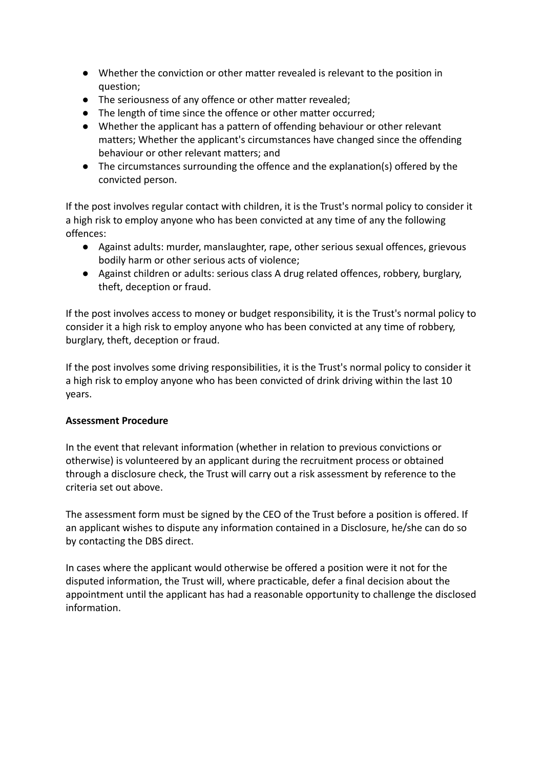- Whether the conviction or other matter revealed is relevant to the position in question;
- The seriousness of any offence or other matter revealed;
- The length of time since the offence or other matter occurred;
- Whether the applicant has a pattern of offending behaviour or other relevant matters; Whether the applicant's circumstances have changed since the offending behaviour or other relevant matters; and
- The circumstances surrounding the offence and the explanation(s) offered by the convicted person.

If the post involves regular contact with children, it is the Trust's normal policy to consider it a high risk to employ anyone who has been convicted at any time of any the following offences:

- Against adults: murder, manslaughter, rape, other serious sexual offences, grievous bodily harm or other serious acts of violence;
- Against children or adults: serious class A drug related offences, robbery, burglary, theft, deception or fraud.

If the post involves access to money or budget responsibility, it is the Trust's normal policy to consider it a high risk to employ anyone who has been convicted at any time of robbery, burglary, theft, deception or fraud.

If the post involves some driving responsibilities, it is the Trust's normal policy to consider it a high risk to employ anyone who has been convicted of drink driving within the last 10 years.

## **Assessment Procedure**

In the event that relevant information (whether in relation to previous convictions or otherwise) is volunteered by an applicant during the recruitment process or obtained through a disclosure check, the Trust will carry out a risk assessment by reference to the criteria set out above.

The assessment form must be signed by the CEO of the Trust before a position is offered. If an applicant wishes to dispute any information contained in a Disclosure, he/she can do so by contacting the DBS direct.

In cases where the applicant would otherwise be offered a position were it not for the disputed information, the Trust will, where practicable, defer a final decision about the appointment until the applicant has had a reasonable opportunity to challenge the disclosed information.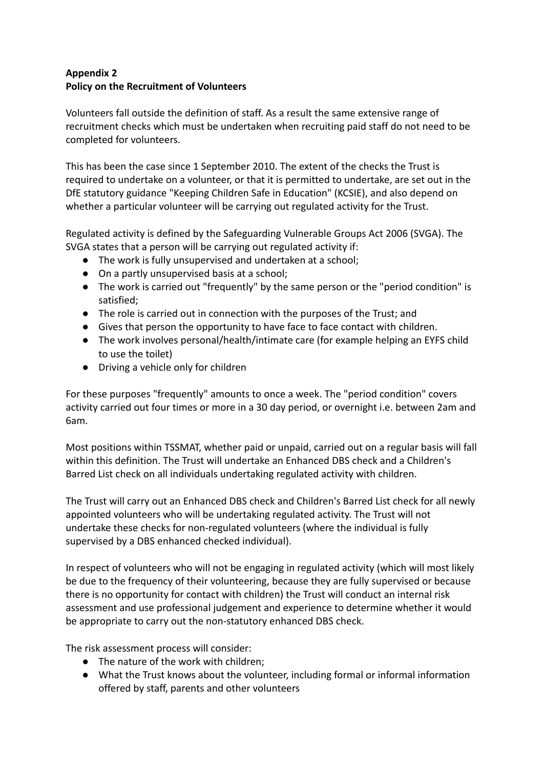## **Appendix 2 Policy on the Recruitment of Volunteers**

Volunteers fall outside the definition of staff. As a result the same extensive range of recruitment checks which must be undertaken when recruiting paid staff do not need to be completed for volunteers.

This has been the case since 1 September 2010. The extent of the checks the Trust is required to undertake on a volunteer, or that it is permitted to undertake, are set out in the DfE statutory guidance "Keeping Children Safe in Education" (KCSIE), and also depend on whether a particular volunteer will be carrying out regulated activity for the Trust.

Regulated activity is defined by the Safeguarding Vulnerable Groups Act 2006 (SVGA). The SVGA states that a person will be carrying out regulated activity if:

- The work is fully unsupervised and undertaken at a school;
- On a partly unsupervised basis at a school;
- The work is carried out "frequently" by the same person or the "period condition" is satisfied;
- The role is carried out in connection with the purposes of the Trust; and
- Gives that person the opportunity to have face to face contact with children.
- The work involves personal/health/intimate care (for example helping an EYFS child to use the toilet)
- Driving a vehicle only for children

For these purposes "frequently" amounts to once a week. The "period condition" covers activity carried out four times or more in a 30 day period, or overnight i.e. between 2am and 6am.

Most positions within TSSMAT, whether paid or unpaid, carried out on a regular basis will fall within this definition. The Trust will undertake an Enhanced DBS check and a Children's Barred List check on all individuals undertaking regulated activity with children.

The Trust will carry out an Enhanced DBS check and Children's Barred List check for all newly appointed volunteers who will be undertaking regulated activity. The Trust will not undertake these checks for non-regulated volunteers (where the individual is fully supervised by a DBS enhanced checked individual).

In respect of volunteers who will not be engaging in regulated activity (which will most likely be due to the frequency of their volunteering, because they are fully supervised or because there is no opportunity for contact with children) the Trust will conduct an internal risk assessment and use professional judgement and experience to determine whether it would be appropriate to carry out the non-statutory enhanced DBS check.

The risk assessment process will consider:

- The nature of the work with children;
- What the Trust knows about the volunteer, including formal or informal information offered by staff, parents and other volunteers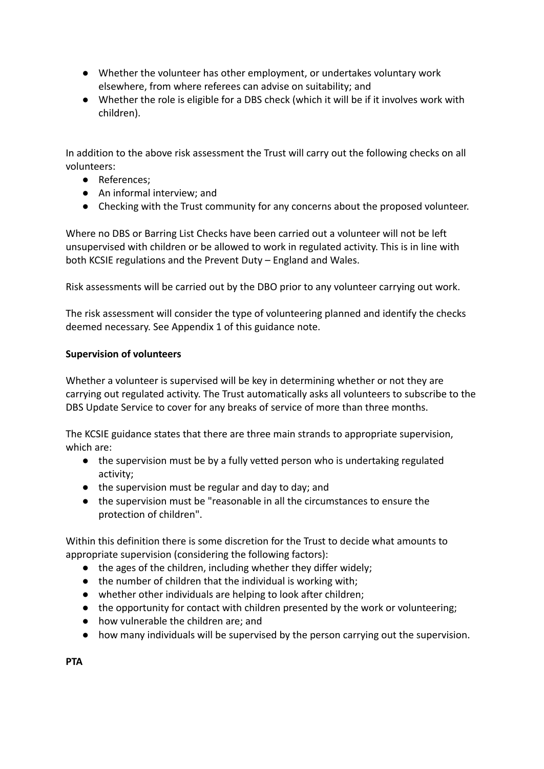- Whether the volunteer has other employment, or undertakes voluntary work elsewhere, from where referees can advise on suitability; and
- Whether the role is eligible for a DBS check (which it will be if it involves work with children).

In addition to the above risk assessment the Trust will carry out the following checks on all volunteers:

- References;
- An informal interview; and
- Checking with the Trust community for any concerns about the proposed volunteer.

Where no DBS or Barring List Checks have been carried out a volunteer will not be left unsupervised with children or be allowed to work in regulated activity. This is in line with both KCSIE regulations and the Prevent Duty – England and Wales.

Risk assessments will be carried out by the DBO prior to any volunteer carrying out work.

The risk assessment will consider the type of volunteering planned and identify the checks deemed necessary. See Appendix 1 of this guidance note.

#### **Supervision of volunteers**

Whether a volunteer is supervised will be key in determining whether or not they are carrying out regulated activity. The Trust automatically asks all volunteers to subscribe to the DBS Update Service to cover for any breaks of service of more than three months.

The KCSIE guidance states that there are three main strands to appropriate supervision, which are:

- the supervision must be by a fully vetted person who is undertaking regulated activity;
- the supervision must be regular and day to day; and
- the supervision must be "reasonable in all the circumstances to ensure the protection of children".

Within this definition there is some discretion for the Trust to decide what amounts to appropriate supervision (considering the following factors):

- the ages of the children, including whether they differ widely;
- the number of children that the individual is working with;
- whether other individuals are helping to look after children;
- the opportunity for contact with children presented by the work or volunteering;
- how vulnerable the children are; and
- how many individuals will be supervised by the person carrying out the supervision.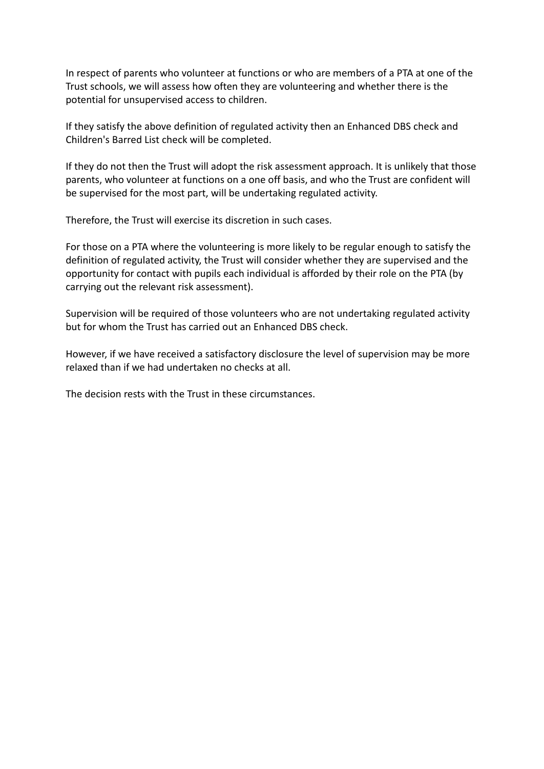In respect of parents who volunteer at functions or who are members of a PTA at one of the Trust schools, we will assess how often they are volunteering and whether there is the potential for unsupervised access to children.

If they satisfy the above definition of regulated activity then an Enhanced DBS check and Children's Barred List check will be completed.

If they do not then the Trust will adopt the risk assessment approach. It is unlikely that those parents, who volunteer at functions on a one off basis, and who the Trust are confident will be supervised for the most part, will be undertaking regulated activity.

Therefore, the Trust will exercise its discretion in such cases.

For those on a PTA where the volunteering is more likely to be regular enough to satisfy the definition of regulated activity, the Trust will consider whether they are supervised and the opportunity for contact with pupils each individual is afforded by their role on the PTA (by carrying out the relevant risk assessment).

Supervision will be required of those volunteers who are not undertaking regulated activity but for whom the Trust has carried out an Enhanced DBS check.

However, if we have received a satisfactory disclosure the level of supervision may be more relaxed than if we had undertaken no checks at all.

The decision rests with the Trust in these circumstances.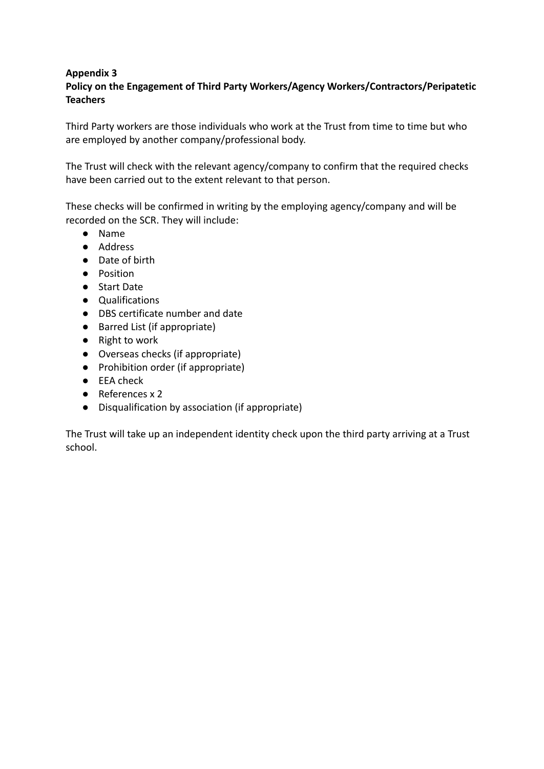#### **Appendix 3 Policy on the Engagement of Third Party Workers/Agency Workers/Contractors/Peripatetic Teachers**

Third Party workers are those individuals who work at the Trust from time to time but who are employed by another company/professional body.

The Trust will check with the relevant agency/company to confirm that the required checks have been carried out to the extent relevant to that person.

These checks will be confirmed in writing by the employing agency/company and will be recorded on the SCR. They will include:

- Name
- Address
- Date of birth
- Position
- Start Date
- Qualifications
- DBS certificate number and date
- Barred List (if appropriate)
- Right to work
- Overseas checks (if appropriate)
- Prohibition order (if appropriate)
- EEA check
- References x 2
- Disqualification by association (if appropriate)

The Trust will take up an independent identity check upon the third party arriving at a Trust school.